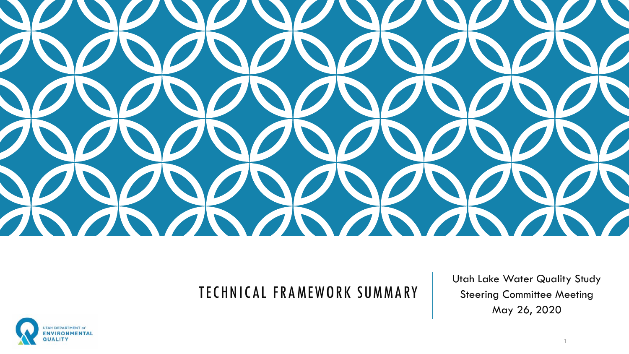

### TECHNICAL FRAMEWORK SUMMARY

Utah Lake Water Quality Study Steering Committee Meeting May 26, 2020

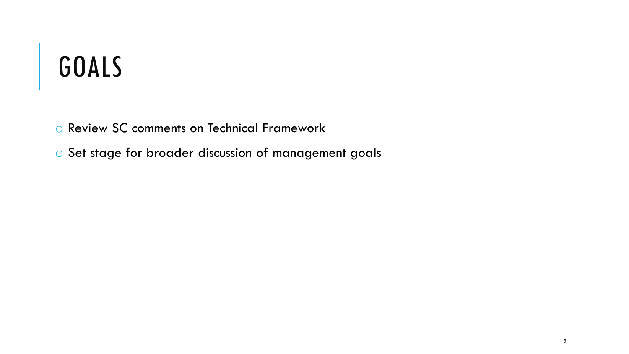# GOALS

o Review SC comments on Technical Framework

o Set stage for broader discussion of management goals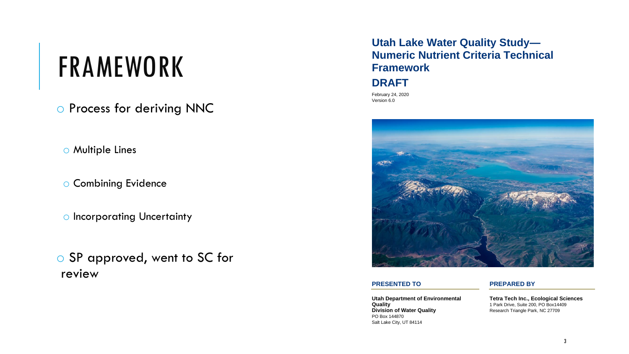## FRAMEWORK

o Process for deriving NNC

o Multiple Lines

o Combining Evidence

o Incorporating Uncertainty

o SP approved, went to SC for review

### **Utah Lake Water Quality Study— Numeric Nutrient Criteria Technical Framework**

### **DRAFT**

February 24, 2020 Version 6.0



### **PRESENTED TO PREPARED BY**

**Utah Department of Environmental Quality Division of Water Quality** PO Box 144870 Salt Lake City, UT 84114

**Tetra Tech Inc., Ecological Sciences** 1 Park Drive, Suite 200, PO Box14409 Research Triangle Park, NC 27709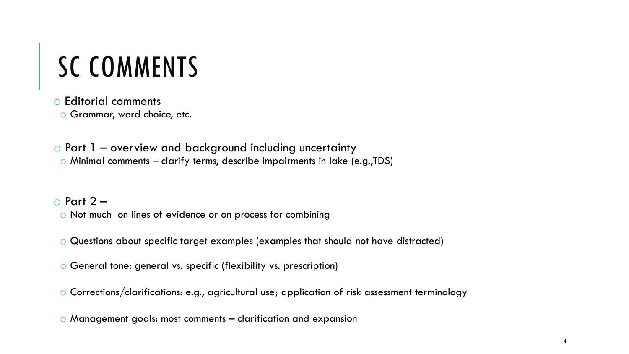# SC COMMENTS

o Editorial comments o Grammar, word choice, etc.

o Part 1 – overview and background including uncertainty o Minimal comments – clarify terms, describe impairments in lake (e.g.,TDS)

 $\circ$  Part 2 – o Not much on lines of evidence or on process for combining

o Questions about specific target examples (examples that should not have distracted)

o General tone: general vs. specific (flexibility vs. prescription)

o Corrections/clarifications: e.g., agricultural use; application of risk assessment terminology

o Management goals: most comments – clarification and expansion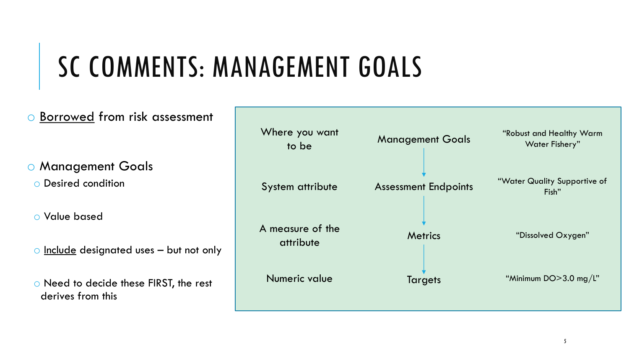# SC COMMENTS: MANAGEMENT GOALS

### o Borrowed from risk assessment

o Management Goals

o Desired condition

o Value based

 $\circ$  Include designated uses  $-$  but not only

o Need to decide these FIRST, the rest derives from this